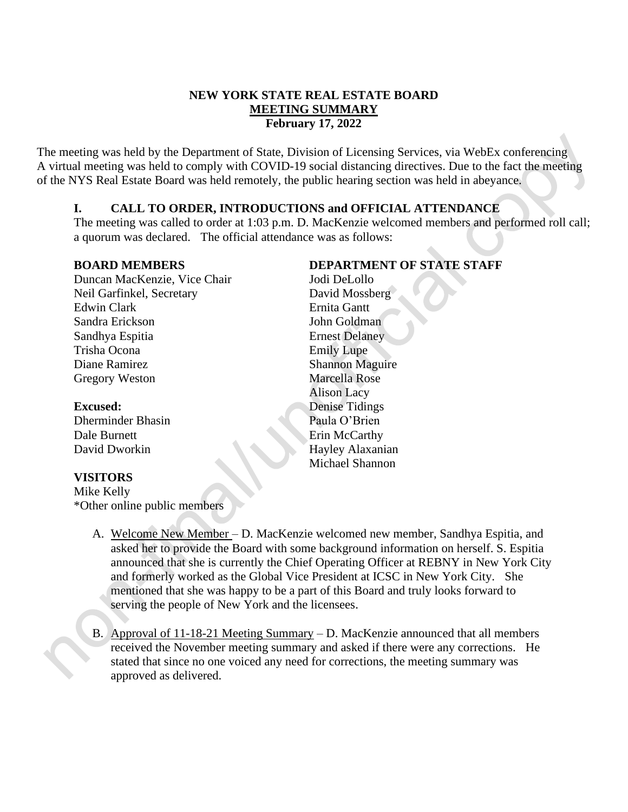## **NEW YORK STATE REAL ESTATE BOARD MEETING SUMMARY February 17, 2022**

The meeting was held by the Department of State, Division of Licensing Services, via WebEx conferencing A virtual meeting was held to comply with COVID-19 social distancing directives. Due to the fact the meeting of the NYS Real Estate Board was held remotely, the public hearing section was held in abeyance.

## **I. CALL TO ORDER, INTRODUCTIONS and OFFICIAL ATTENDANCE**

The meeting was called to order at 1:03 p.m. D. MacKenzie welcomed members and performed roll call; a quorum was declared. The official attendance was as follows:

## **BOARD MEMBERS**

Duncan MacKenzie, Vice Chair Neil Garfinkel, Secretary Edwin Clark Sandra Erickson Sandhya Espitia Trisha Ocona Diane Ramirez Gregory Weston

#### **Excused:**

Dherminder Bhasin Dale Burnett David Dworkin

## **VISITORS**

Mike Kelly \*Other online public members

# **DEPARTMENT OF STATE STAFF**

Jodi DeLollo David Mossberg Ernita Gantt John Goldman Ernest Delaney Emily Lupe Shannon Maguire Marcella Rose Alison Lacy Denise Tidings Paula O'Brien Erin McCarthy Hayley Alaxanian Michael Shannon

- A. Welcome New Member D. MacKenzie welcomed new member, Sandhya Espitia, and asked her to provide the Board with some background information on herself. S. Espitia announced that she is currently the Chief Operating Officer at REBNY in New York City and formerly worked as the Global Vice President at ICSC in New York City. She mentioned that she was happy to be a part of this Board and truly looks forward to serving the people of New York and the licensees.
- B. Approval of 11-18-21 Meeting Summary D. MacKenzie announced that all members received the November meeting summary and asked if there were any corrections. He stated that since no one voiced any need for corrections, the meeting summary was approved as delivered.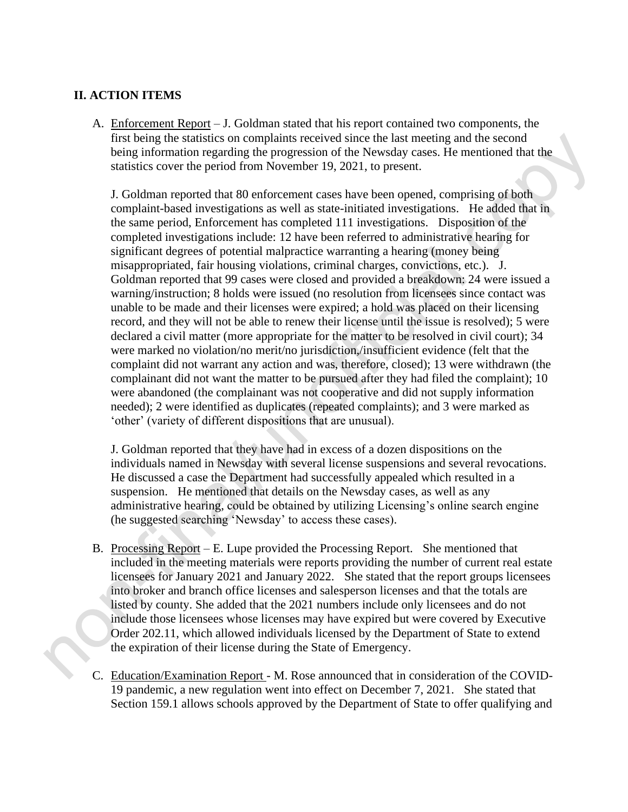#### **II. ACTION ITEMS**

A. Enforcement Report – J. Goldman stated that his report contained two components, the first being the statistics on complaints received since the last meeting and the second being information regarding the progression of the Newsday cases. He mentioned that the statistics cover the period from November 19, 2021, to present.

J. Goldman reported that 80 enforcement cases have been opened, comprising of both complaint-based investigations as well as state-initiated investigations. He added that in the same period, Enforcement has completed 111 investigations. Disposition of the completed investigations include: 12 have been referred to administrative hearing for significant degrees of potential malpractice warranting a hearing (money being misappropriated, fair housing violations, criminal charges, convictions, etc.). J. Goldman reported that 99 cases were closed and provided a breakdown: 24 were issued a warning/instruction; 8 holds were issued (no resolution from licensees since contact was unable to be made and their licenses were expired; a hold was placed on their licensing record, and they will not be able to renew their license until the issue is resolved); 5 were declared a civil matter (more appropriate for the matter to be resolved in civil court); 34 were marked no violation/no merit/no jurisdiction,/insufficient evidence (felt that the complaint did not warrant any action and was, therefore, closed); 13 were withdrawn (the complainant did not want the matter to be pursued after they had filed the complaint); 10 were abandoned (the complainant was not cooperative and did not supply information needed); 2 were identified as duplicates (repeated complaints); and 3 were marked as 'other' (variety of different dispositions that are unusual).

J. Goldman reported that they have had in excess of a dozen dispositions on the individuals named in Newsday with several license suspensions and several revocations. He discussed a case the Department had successfully appealed which resulted in a suspension. He mentioned that details on the Newsday cases, as well as any administrative hearing, could be obtained by utilizing Licensing's online search engine (he suggested searching 'Newsday' to access these cases).

- B. Processing Report E. Lupe provided the Processing Report. She mentioned that included in the meeting materials were reports providing the number of current real estate licensees for January 2021 and January 2022. She stated that the report groups licensees into broker and branch office licenses and salesperson licenses and that the totals are listed by county. She added that the 2021 numbers include only licensees and do not include those licensees whose licenses may have expired but were covered by Executive Order 202.11, which allowed individuals licensed by the Department of State to extend the expiration of their license during the State of Emergency.
- C. Education/Examination Report M. Rose announced that in consideration of the COVID-19 pandemic, a new regulation went into effect on December 7, 2021. She stated that Section 159.1 allows schools approved by the Department of State to offer qualifying and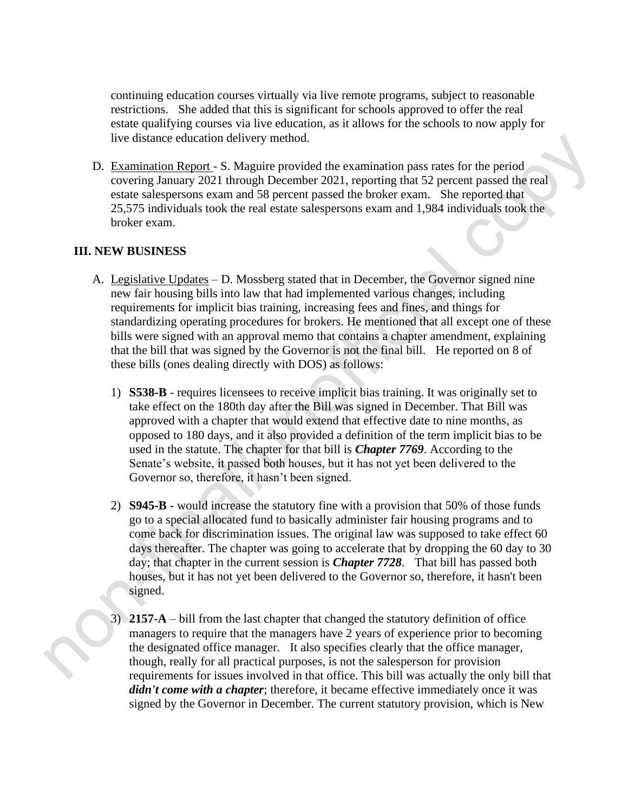continuing education courses virtually via live remote programs, subject to reasonable restrictions. She added that this is significant for schools approved to offer the real estate qualifying courses via live education, as it allows for the schools to now apply for live distance education delivery method.

D. Examination Report - S. Maguire provided the examination pass rates for the period covering January 2021 through December 2021, reporting that 52 percent passed the real estate salespersons exam and 58 percent passed the broker exam. She reported that 25,575 individuals took the real estate salespersons exam and 1,984 individuals took the broker exam.

#### **III. NEW BUSINESS**

- A. Legislative Updates D. Mossberg stated that in December, the Governor signed nine new fair housing bills into law that had implemented various changes, including requirements for implicit bias training, increasing fees and fines, and things for standardizing operating procedures for brokers. He mentioned that all except one of these bills were signed with an approval memo that contains a chapter amendment, explaining that the bill that was signed by the Governor is not the final bill. He reported on 8 of these bills (ones dealing directly with DOS) as follows:
	- 1) **S538-B** requires licensees to receive implicit bias training. It was originally set to take effect on the 180th day after the Bill was signed in December. That Bill was approved with a chapter that would extend that effective date to nine months, as opposed to 180 days, and it also provided a definition of the term implicit bias to be used in the statute. The chapter for that bill is *Chapter 7769*. According to the Senate's website, it passed both houses, but it has not yet been delivered to the Governor so, therefore, it hasn't been signed.
	- 2) **S945-B -** would increase the statutory fine with a provision that 50% of those funds go to a special allocated fund to basically administer fair housing programs and to come back for discrimination issues. The original law was supposed to take effect 60 days thereafter. The chapter was going to accelerate that by dropping the 60 day to 30 day; that chapter in the current session is *Chapter 7728*. That bill has passed both houses, but it has not yet been delivered to the Governor so, therefore, it hasn't been signed.
	- 3) **2157-A** bill from the last chapter that changed the statutory definition of office managers to require that the managers have 2 years of experience prior to becoming the designated office manager. It also specifies clearly that the office manager, though, really for all practical purposes, is not the salesperson for provision requirements for issues involved in that office. This bill was actually the only bill that *didn't come with a chapter*; therefore, it became effective immediately once it was signed by the Governor in December. The current statutory provision, which is New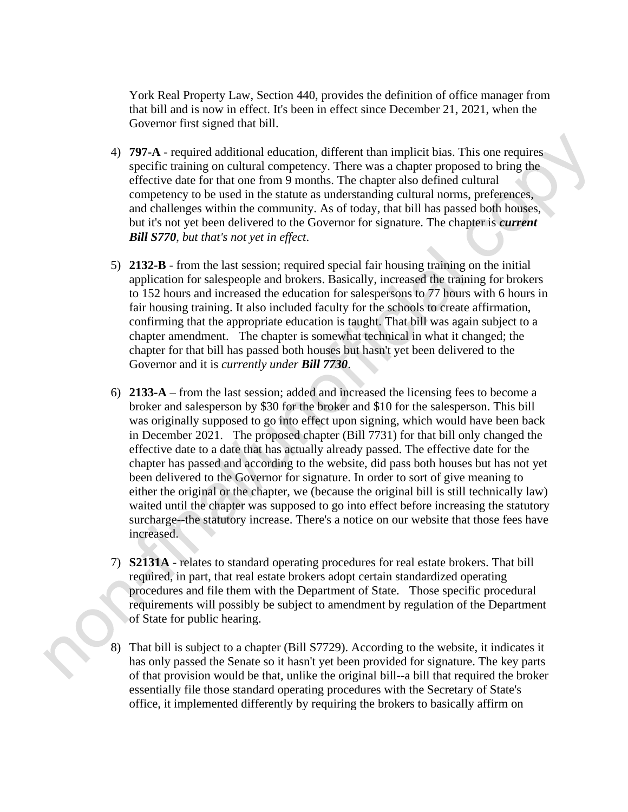York Real Property Law, Section 440, provides the definition of office manager from that bill and is now in effect. It's been in effect since December 21, 2021, when the Governor first signed that bill.

- 4) **797-A** required additional education, different than implicit bias. This one requires specific training on cultural competency. There was a chapter proposed to bring the effective date for that one from 9 months. The chapter also defined cultural competency to be used in the statute as understanding cultural norms, preferences, and challenges within the community. As of today, that bill has passed both houses, but it's not yet been delivered to the Governor for signature. The chapter is *current Bill S770*, *but that's not yet in effect*.
- 5) **2132-B** from the last session; required special fair housing training on the initial application for salespeople and brokers. Basically, increased the training for brokers to 152 hours and increased the education for salespersons to 77 hours with 6 hours in fair housing training. It also included faculty for the schools to create affirmation, confirming that the appropriate education is taught. That bill was again subject to a chapter amendment. The chapter is somewhat technical in what it changed; the chapter for that bill has passed both houses but hasn't yet been delivered to the Governor and it is *currently under Bill 7730*.
- 6) **2133-A** from the last session; added and increased the licensing fees to become a broker and salesperson by \$30 for the broker and \$10 for the salesperson. This bill was originally supposed to go into effect upon signing, which would have been back in December 2021. The proposed chapter (Bill 7731) for that bill only changed the effective date to a date that has actually already passed. The effective date for the chapter has passed and according to the website, did pass both houses but has not yet been delivered to the Governor for signature. In order to sort of give meaning to either the original or the chapter, we (because the original bill is still technically law) waited until the chapter was supposed to go into effect before increasing the statutory surcharge--the statutory increase. There's a notice on our website that those fees have increased.
- 7) **S2131A** relates to standard operating procedures for real estate brokers. That bill required, in part, that real estate brokers adopt certain standardized operating procedures and file them with the Department of State. Those specific procedural requirements will possibly be subject to amendment by regulation of the Department of State for public hearing.
- 8) That bill is subject to a chapter (Bill S7729). According to the website, it indicates it has only passed the Senate so it hasn't yet been provided for signature. The key parts of that provision would be that, unlike the original bill--a bill that required the broker essentially file those standard operating procedures with the Secretary of State's office, it implemented differently by requiring the brokers to basically affirm on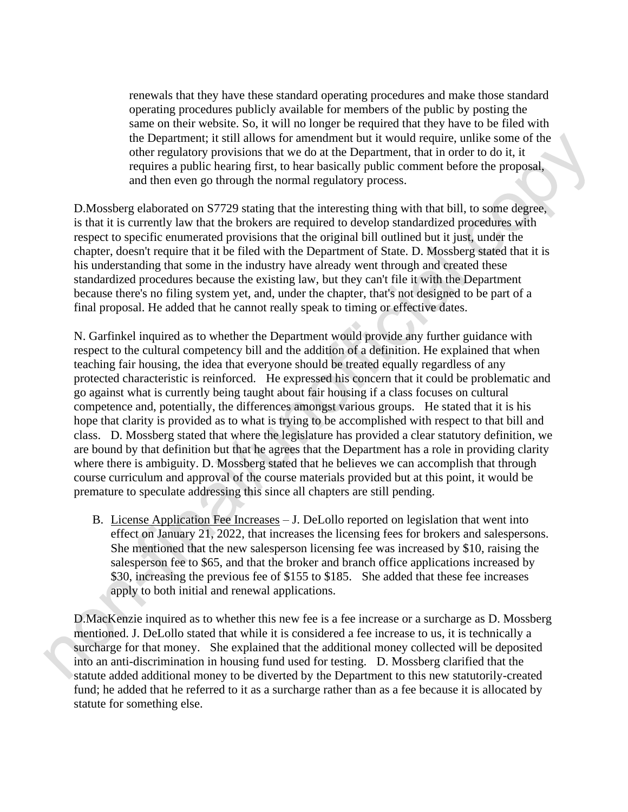renewals that they have these standard operating procedures and make those standard operating procedures publicly available for members of the public by posting the same on their website. So, it will no longer be required that they have to be filed with the Department; it still allows for amendment but it would require, unlike some of the other regulatory provisions that we do at the Department, that in order to do it, it requires a public hearing first, to hear basically public comment before the proposal, and then even go through the normal regulatory process.

D.Mossberg elaborated on S7729 stating that the interesting thing with that bill, to some degree, is that it is currently law that the brokers are required to develop standardized procedures with respect to specific enumerated provisions that the original bill outlined but it just, under the chapter, doesn't require that it be filed with the Department of State. D. Mossberg stated that it is his understanding that some in the industry have already went through and created these standardized procedures because the existing law, but they can't file it with the Department because there's no filing system yet, and, under the chapter, that's not designed to be part of a final proposal. He added that he cannot really speak to timing or effective dates.

N. Garfinkel inquired as to whether the Department would provide any further guidance with respect to the cultural competency bill and the addition of a definition. He explained that when teaching fair housing, the idea that everyone should be treated equally regardless of any protected characteristic is reinforced. He expressed his concern that it could be problematic and go against what is currently being taught about fair housing if a class focuses on cultural competence and, potentially, the differences amongst various groups. He stated that it is his hope that clarity is provided as to what is trying to be accomplished with respect to that bill and class. D. Mossberg stated that where the legislature has provided a clear statutory definition, we are bound by that definition but that he agrees that the Department has a role in providing clarity where there is ambiguity. D. Mossberg stated that he believes we can accomplish that through course curriculum and approval of the course materials provided but at this point, it would be premature to speculate addressing this since all chapters are still pending.

B. License Application Fee Increases – J. DeLollo reported on legislation that went into effect on January 21, 2022, that increases the licensing fees for brokers and salespersons. She mentioned that the new salesperson licensing fee was increased by \$10, raising the salesperson fee to \$65, and that the broker and branch office applications increased by \$30, increasing the previous fee of \$155 to \$185. She added that these fee increases apply to both initial and renewal applications.

D.MacKenzie inquired as to whether this new fee is a fee increase or a surcharge as D. Mossberg mentioned. J. DeLollo stated that while it is considered a fee increase to us, it is technically a surcharge for that money. She explained that the additional money collected will be deposited into an anti-discrimination in housing fund used for testing. D. Mossberg clarified that the statute added additional money to be diverted by the Department to this new statutorily-created fund; he added that he referred to it as a surcharge rather than as a fee because it is allocated by statute for something else.